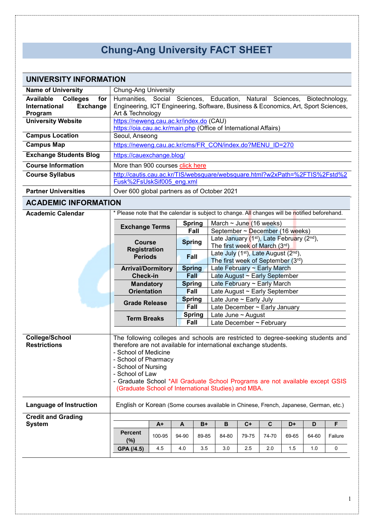## **Chung-Ang University FACT SHEET**

| UNIVERSITY INFORMATION                                                                    |                                                                                                                                                                                                                                                                                                                                                                                        |        |                                                                                  |               |                                                                                                     |       |       |       |       |             |
|-------------------------------------------------------------------------------------------|----------------------------------------------------------------------------------------------------------------------------------------------------------------------------------------------------------------------------------------------------------------------------------------------------------------------------------------------------------------------------------------|--------|----------------------------------------------------------------------------------|---------------|-----------------------------------------------------------------------------------------------------|-------|-------|-------|-------|-------------|
| <b>Name of University</b>                                                                 | <b>Chung-Ang University</b>                                                                                                                                                                                                                                                                                                                                                            |        |                                                                                  |               |                                                                                                     |       |       |       |       |             |
| <b>Available</b><br><b>Colleges</b><br>for<br><b>Exchange</b><br>International<br>Program | Humanities,<br>Social Sciences,<br>Education, Natural Sciences, Biotechnology,<br>Engineering, ICT Engineering, Software, Business & Economics, Art, Sport Sciences,<br>Art & Technology                                                                                                                                                                                               |        |                                                                                  |               |                                                                                                     |       |       |       |       |             |
| <b>University Website</b>                                                                 | https://neweng.cau.ac.kr/index.do (CAU)<br>https://oia.cau.ac.kr/main.php (Office of International Affairs)                                                                                                                                                                                                                                                                            |        |                                                                                  |               |                                                                                                     |       |       |       |       |             |
| <b>Campus Location</b>                                                                    | Seoul, Anseong                                                                                                                                                                                                                                                                                                                                                                         |        |                                                                                  |               |                                                                                                     |       |       |       |       |             |
| <b>Campus Map</b>                                                                         | https://neweng.cau.ac.kr/cms/FR_CON/index.do?MENU_ID=270                                                                                                                                                                                                                                                                                                                               |        |                                                                                  |               |                                                                                                     |       |       |       |       |             |
| <b>Exchange Students Blog</b>                                                             | https://cauexchange.blog/                                                                                                                                                                                                                                                                                                                                                              |        |                                                                                  |               |                                                                                                     |       |       |       |       |             |
| <b>Course Information</b>                                                                 | More than 900 courses click here                                                                                                                                                                                                                                                                                                                                                       |        |                                                                                  |               |                                                                                                     |       |       |       |       |             |
| <b>Course Syllabus</b>                                                                    | http://cautis.cau.ac.kr/TIS/websquare/websquare.html?w2xPath=%2FTIS%2Fstd%2<br>Fusk%2FsUskSif005 eng.xml                                                                                                                                                                                                                                                                               |        |                                                                                  |               |                                                                                                     |       |       |       |       |             |
| <b>Partner Universities</b>                                                               | Over 600 global partners as of October 2021                                                                                                                                                                                                                                                                                                                                            |        |                                                                                  |               |                                                                                                     |       |       |       |       |             |
| <b>ACADEMIC INFORMATION</b>                                                               |                                                                                                                                                                                                                                                                                                                                                                                        |        |                                                                                  |               |                                                                                                     |       |       |       |       |             |
| <b>Academic Calendar</b>                                                                  | * Please note that the calendar is subject to change. All changes will be notified beforehand.                                                                                                                                                                                                                                                                                         |        |                                                                                  |               |                                                                                                     |       |       |       |       |             |
|                                                                                           | <b>Exchange Terms</b>                                                                                                                                                                                                                                                                                                                                                                  |        |                                                                                  | <b>Spring</b> | March $\sim$ June (16 weeks)                                                                        |       |       |       |       |             |
|                                                                                           |                                                                                                                                                                                                                                                                                                                                                                                        |        |                                                                                  | Fall          | September ~ December (16 weeks)                                                                     |       |       |       |       |             |
|                                                                                           | <b>Course</b><br><b>Registration</b><br><b>Periods</b>                                                                                                                                                                                                                                                                                                                                 |        | <b>Spring</b>                                                                    |               | Late January (1 <sup>st</sup> ), Late February (2 <sup>nd</sup> ),<br>The first week of March (3rd) |       |       |       |       |             |
|                                                                                           |                                                                                                                                                                                                                                                                                                                                                                                        |        | <b>Fall</b>                                                                      |               | Late July (1 <sup>st)</sup> , Late August (2 <sup>nd</sup> ),<br>The first week of September (3rd)  |       |       |       |       |             |
|                                                                                           | <b>Arrival/Dormitory</b>                                                                                                                                                                                                                                                                                                                                                               |        | <b>Spring</b><br>Late February ~ Early March<br>Fall                             |               |                                                                                                     |       |       |       |       |             |
|                                                                                           | <b>Check-in</b><br><b>Mandatory</b>                                                                                                                                                                                                                                                                                                                                                    |        |                                                                                  |               | Late August ~ Early September<br>Late February ~ Early March                                        |       |       |       |       |             |
|                                                                                           | <b>Orientation</b>                                                                                                                                                                                                                                                                                                                                                                     |        | <b>Spring</b><br>Fall<br>Late August ~ Early September                           |               |                                                                                                     |       |       |       |       |             |
|                                                                                           | <b>Grade Release</b>                                                                                                                                                                                                                                                                                                                                                                   |        | Late June ~ Early July<br><b>Spring</b><br>Fall<br>Late December ~ Early January |               |                                                                                                     |       |       |       |       |             |
|                                                                                           | <b>Term Breaks</b>                                                                                                                                                                                                                                                                                                                                                                     |        |                                                                                  | <b>Spring</b> | Late June $\sim$ August<br>Late December ~ February                                                 |       |       |       |       |             |
|                                                                                           |                                                                                                                                                                                                                                                                                                                                                                                        | Fall   |                                                                                  |               |                                                                                                     |       |       |       |       |             |
| <b>College/School</b><br><b>Restrictions</b>                                              | The following colleges and schools are restricted to degree-seeking students and<br>therefore are not available for international exchange students.<br>- School of Medicine<br>- School of Pharmacy<br>- School of Nursing<br>- School of Law<br>- Graduate School *All Graduate School Programs are not available except GSIS<br>(Graduate School of International Studies) and MBA. |        |                                                                                  |               |                                                                                                     |       |       |       |       |             |
| <b>Language of Instruction</b>                                                            | English or Korean (Some courses available in Chinese, French, Japanese, German, etc.)                                                                                                                                                                                                                                                                                                  |        |                                                                                  |               |                                                                                                     |       |       |       |       |             |
| <b>Credit and Grading</b>                                                                 |                                                                                                                                                                                                                                                                                                                                                                                        |        |                                                                                  |               |                                                                                                     |       |       |       |       |             |
| <b>System</b>                                                                             |                                                                                                                                                                                                                                                                                                                                                                                        | $A+$   | A                                                                                | $B+$          | В                                                                                                   | $C+$  | C     | D+    | D     | F           |
|                                                                                           | <b>Percent</b><br>(%)                                                                                                                                                                                                                                                                                                                                                                  | 100-95 | 94-90                                                                            | 89-85         | 84-80                                                                                               | 79-75 | 74-70 | 69-65 | 64-60 | Failure     |
|                                                                                           | GPA (/4.5)                                                                                                                                                                                                                                                                                                                                                                             | 4.5    | 4.0                                                                              | 3.5           | 3.0                                                                                                 | 2.5   | 2.0   | 1.5   | 1.0   | $\mathbf 0$ |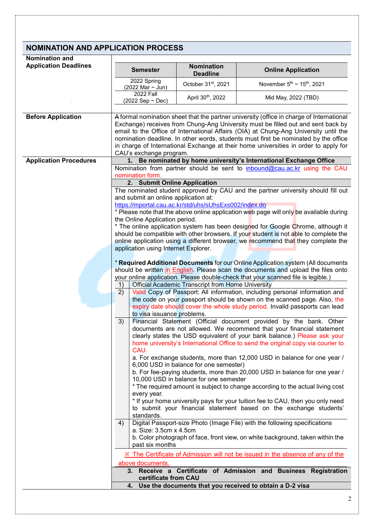## **NOMINATION AND APPLICATION PROCESS**

| <b>Nomination and</b> |  |
|-----------------------|--|

| <b>Nomination and</b>         |                                                                                                                                                                                                                                                                                                                                                                                                                                                                                |                                                                       |                                                                                                                                                                       |  |  |  |  |  |
|-------------------------------|--------------------------------------------------------------------------------------------------------------------------------------------------------------------------------------------------------------------------------------------------------------------------------------------------------------------------------------------------------------------------------------------------------------------------------------------------------------------------------|-----------------------------------------------------------------------|-----------------------------------------------------------------------------------------------------------------------------------------------------------------------|--|--|--|--|--|
| <b>Application Deadlines</b>  | <b>Semester</b>                                                                                                                                                                                                                                                                                                                                                                                                                                                                | Nomination                                                            | <b>Online Application</b>                                                                                                                                             |  |  |  |  |  |
|                               | 2022 Spring<br>(2022 Mar ~ Jun)                                                                                                                                                                                                                                                                                                                                                                                                                                                | <b>Deadline</b><br>October 31st, 2021                                 | November $5^{th}$ ~ 15 <sup>th</sup> , 2021                                                                                                                           |  |  |  |  |  |
|                               | <b>2022 Fall</b>                                                                                                                                                                                                                                                                                                                                                                                                                                                               | April 30th, 2022                                                      | Mid May, 2022 (TBD)                                                                                                                                                   |  |  |  |  |  |
|                               | $(2022$ Sep ~ Dec)                                                                                                                                                                                                                                                                                                                                                                                                                                                             |                                                                       |                                                                                                                                                                       |  |  |  |  |  |
|                               |                                                                                                                                                                                                                                                                                                                                                                                                                                                                                |                                                                       |                                                                                                                                                                       |  |  |  |  |  |
| <b>Before Application</b>     | A formal nomination sheet that the partner university (office in charge of International<br>Exchange) receives from Chung-Ang University must be filled out and sent back by<br>email to the Office of International Affairs (OIA) at Chung-Ang University until the<br>nomination deadline. In other words, students must first be nominated by the office<br>in charge of International Exchange at their home universities in order to apply for<br>CAU's exchange program. |                                                                       |                                                                                                                                                                       |  |  |  |  |  |
| <b>Application Procedures</b> | 1. Be nominated by home university's International Exchange Office                                                                                                                                                                                                                                                                                                                                                                                                             |                                                                       |                                                                                                                                                                       |  |  |  |  |  |
|                               | Nomination from partner should be sent to inbound@cau.ac.kr using the CAU                                                                                                                                                                                                                                                                                                                                                                                                      |                                                                       |                                                                                                                                                                       |  |  |  |  |  |
|                               | nomination form.                                                                                                                                                                                                                                                                                                                                                                                                                                                               |                                                                       |                                                                                                                                                                       |  |  |  |  |  |
|                               |                                                                                                                                                                                                                                                                                                                                                                                                                                                                                | 2. Submit Online Application                                          | The nominated student approved by CAU and the partner university should fill out                                                                                      |  |  |  |  |  |
|                               | and submit an online application at:                                                                                                                                                                                                                                                                                                                                                                                                                                           |                                                                       |                                                                                                                                                                       |  |  |  |  |  |
|                               |                                                                                                                                                                                                                                                                                                                                                                                                                                                                                | https://mportal.cau.ac.kr/std/uhs/sUhsExs002/index.do                 |                                                                                                                                                                       |  |  |  |  |  |
|                               | the Online Application period.                                                                                                                                                                                                                                                                                                                                                                                                                                                 |                                                                       | * Please note that the above online application web page will only be available during                                                                                |  |  |  |  |  |
|                               |                                                                                                                                                                                                                                                                                                                                                                                                                                                                                |                                                                       | * The online application system has been designed for Google Chrome, although it                                                                                      |  |  |  |  |  |
|                               |                                                                                                                                                                                                                                                                                                                                                                                                                                                                                |                                                                       | should be compatible with other browsers. If your student is not able to complete the                                                                                 |  |  |  |  |  |
|                               | application using Internet Explorer.                                                                                                                                                                                                                                                                                                                                                                                                                                           |                                                                       | online application using a different browser, we recommend that they complete the                                                                                     |  |  |  |  |  |
|                               |                                                                                                                                                                                                                                                                                                                                                                                                                                                                                |                                                                       |                                                                                                                                                                       |  |  |  |  |  |
|                               |                                                                                                                                                                                                                                                                                                                                                                                                                                                                                |                                                                       | * Required Additional Documents for our Online Application system (All documents<br>should be written in English. Please scan the documents and upload the files onto |  |  |  |  |  |
|                               |                                                                                                                                                                                                                                                                                                                                                                                                                                                                                |                                                                       | your online application. Please double-check that your scanned file is legible.)                                                                                      |  |  |  |  |  |
|                               | 1)                                                                                                                                                                                                                                                                                                                                                                                                                                                                             | <b>Official Academic Transcript from Home University</b>              |                                                                                                                                                                       |  |  |  |  |  |
|                               | 2)<br>Valid Copy of Passport: All information, including personal information and                                                                                                                                                                                                                                                                                                                                                                                              |                                                                       |                                                                                                                                                                       |  |  |  |  |  |
|                               | the code on your passport should be shown on the scanned page. Also, the                                                                                                                                                                                                                                                                                                                                                                                                       |                                                                       |                                                                                                                                                                       |  |  |  |  |  |
|                               | expiry date should cover the whole study period. Invalid passports can lead                                                                                                                                                                                                                                                                                                                                                                                                    |                                                                       |                                                                                                                                                                       |  |  |  |  |  |
|                               | to visa issuance problems.<br>Financial Statement (Official document provided by the bank. Other<br>3)                                                                                                                                                                                                                                                                                                                                                                         |                                                                       |                                                                                                                                                                       |  |  |  |  |  |
|                               |                                                                                                                                                                                                                                                                                                                                                                                                                                                                                | documents are not allowed. We recommend that your financial statement |                                                                                                                                                                       |  |  |  |  |  |
|                               | clearly states the USD equivalent of your bank balance.) Please ask your<br>home university's International Office to send the original copy via courier to<br>CAU.<br>a. For exchange students, more than 12,000 USD in balance for one year /<br>6,000 USD in balance for one semester)                                                                                                                                                                                      |                                                                       |                                                                                                                                                                       |  |  |  |  |  |
|                               |                                                                                                                                                                                                                                                                                                                                                                                                                                                                                |                                                                       |                                                                                                                                                                       |  |  |  |  |  |
|                               |                                                                                                                                                                                                                                                                                                                                                                                                                                                                                |                                                                       |                                                                                                                                                                       |  |  |  |  |  |
|                               | b. For fee-paying students, more than 20,000 USD in balance for one year /<br>10,000 USD in balance for one semester<br>* The required amount is subject to change according to the actual living cost<br>every year.                                                                                                                                                                                                                                                          |                                                                       |                                                                                                                                                                       |  |  |  |  |  |
|                               |                                                                                                                                                                                                                                                                                                                                                                                                                                                                                |                                                                       |                                                                                                                                                                       |  |  |  |  |  |
|                               |                                                                                                                                                                                                                                                                                                                                                                                                                                                                                |                                                                       | * If your home university pays for your tuition fee to CAU, then you only need                                                                                        |  |  |  |  |  |
|                               | to submit your financial statement based on the exchange students'                                                                                                                                                                                                                                                                                                                                                                                                             |                                                                       |                                                                                                                                                                       |  |  |  |  |  |
|                               | standards.                                                                                                                                                                                                                                                                                                                                                                                                                                                                     |                                                                       |                                                                                                                                                                       |  |  |  |  |  |
|                               | 4)<br>a. Size: 3.5cm x 4.5cm                                                                                                                                                                                                                                                                                                                                                                                                                                                   |                                                                       | Digital Passport-size Photo (Image File) with the following specifications                                                                                            |  |  |  |  |  |
|                               |                                                                                                                                                                                                                                                                                                                                                                                                                                                                                |                                                                       | b. Color photograph of face, front view, on white background, taken within the                                                                                        |  |  |  |  |  |
|                               | past six months                                                                                                                                                                                                                                                                                                                                                                                                                                                                |                                                                       |                                                                                                                                                                       |  |  |  |  |  |
|                               |                                                                                                                                                                                                                                                                                                                                                                                                                                                                                |                                                                       | X The Certificate of Admission will not be issued in the absence of any of the                                                                                        |  |  |  |  |  |
|                               | above documents.                                                                                                                                                                                                                                                                                                                                                                                                                                                               |                                                                       | 3. Receive a Certificate of Admission and Business Registration                                                                                                       |  |  |  |  |  |
|                               | certificate from CAU                                                                                                                                                                                                                                                                                                                                                                                                                                                           |                                                                       |                                                                                                                                                                       |  |  |  |  |  |
|                               | Use the documents that you received to obtain a D-2 visa<br>4.                                                                                                                                                                                                                                                                                                                                                                                                                 |                                                                       |                                                                                                                                                                       |  |  |  |  |  |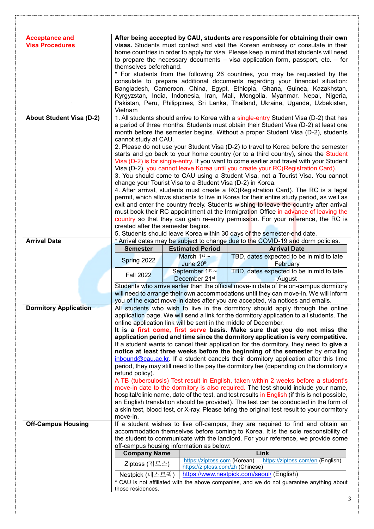| <b>Acceptance and</b><br><b>Visa Procedures</b> | After being accepted by CAU, students are responsible for obtaining their own<br>visas. Students must contact and visit the Korean embassy or consulate in their<br>home countries in order to apply for visa. Please keep in mind that students will need<br>to prepare the necessary documents $-$ visa application form, passport, etc. $-$ for<br>themselves beforehand. |  |                                                                  |                                                                                                                                                                                    |  |  |  |  |
|-------------------------------------------------|------------------------------------------------------------------------------------------------------------------------------------------------------------------------------------------------------------------------------------------------------------------------------------------------------------------------------------------------------------------------------|--|------------------------------------------------------------------|------------------------------------------------------------------------------------------------------------------------------------------------------------------------------------|--|--|--|--|
|                                                 |                                                                                                                                                                                                                                                                                                                                                                              |  |                                                                  |                                                                                                                                                                                    |  |  |  |  |
|                                                 | * For students from the following 26 countries, you may be requested by the<br>consulate to prepare additional documents regarding your financial situation:                                                                                                                                                                                                                 |  |                                                                  |                                                                                                                                                                                    |  |  |  |  |
|                                                 | Bangladesh, Cameroon, China, Egypt, Ethiopia, Ghana, Guinea, Kazakhstan,<br>Kyrgyzstan, India, Indonesia, Iran, Mali, Mongolia, Myanmar, Nepal, Nigeria,                                                                                                                                                                                                                     |  |                                                                  |                                                                                                                                                                                    |  |  |  |  |
|                                                 | Pakistan, Peru, Philippines, Sri Lanka, Thailand, Ukraine, Uganda, Uzbekistan,<br>Vietnam                                                                                                                                                                                                                                                                                    |  |                                                                  |                                                                                                                                                                                    |  |  |  |  |
| <b>About Student Visa (D-2)</b>                 | 1. All students should arrive to Korea with a single-entry Student Visa (D-2) that has<br>a period of three months. Students must obtain their Student Visa (D-2) at least one<br>month before the semester begins. Without a proper Student Visa (D-2), students                                                                                                            |  |                                                                  |                                                                                                                                                                                    |  |  |  |  |
|                                                 | cannot study at CAU.<br>2. Please do not use your Student Visa (D-2) to travel to Korea before the semester<br>starts and go back to your home country (or to a third country), since the Student                                                                                                                                                                            |  |                                                                  |                                                                                                                                                                                    |  |  |  |  |
|                                                 |                                                                                                                                                                                                                                                                                                                                                                              |  |                                                                  |                                                                                                                                                                                    |  |  |  |  |
|                                                 |                                                                                                                                                                                                                                                                                                                                                                              |  |                                                                  | Visa (D-2) is for single-entry. If you want to come earlier and travel with your Student                                                                                           |  |  |  |  |
|                                                 |                                                                                                                                                                                                                                                                                                                                                                              |  |                                                                  | Visa (D-2), you cannot leave Korea until you create your RC(Registration Card).<br>3. You should come to CAU using a Student Visa, not a Tourist Visa. You cannot                  |  |  |  |  |
|                                                 |                                                                                                                                                                                                                                                                                                                                                                              |  |                                                                  | change your Tourist Visa to a Student Visa (D-2) in Korea.<br>4. After arrival, students must create a RC(Registration Card). The RC is a legal                                    |  |  |  |  |
|                                                 |                                                                                                                                                                                                                                                                                                                                                                              |  |                                                                  | permit, which allows students to live in Korea for their entire study period, as well as                                                                                           |  |  |  |  |
|                                                 |                                                                                                                                                                                                                                                                                                                                                                              |  |                                                                  | exit and enter the country freely. Students wishing to leave the country after arrival<br>must book their RC appointment at the Immigration Office in advance of leaving the       |  |  |  |  |
|                                                 |                                                                                                                                                                                                                                                                                                                                                                              |  |                                                                  | country so that they can gain re-entry permission. For your reference, the RC is                                                                                                   |  |  |  |  |
|                                                 | created after the semester begins.                                                                                                                                                                                                                                                                                                                                           |  |                                                                  | 5. Students should leave Korea within 30 days of the semester-end date.                                                                                                            |  |  |  |  |
| <b>Arrival Date</b>                             |                                                                                                                                                                                                                                                                                                                                                                              |  |                                                                  | * Arrival dates may be subject to change due to the COVID-19 and dorm policies.                                                                                                    |  |  |  |  |
|                                                 | <b>Semester</b>                                                                                                                                                                                                                                                                                                                                                              |  | <b>Estimated Period</b>                                          | <b>Arrival Date</b>                                                                                                                                                                |  |  |  |  |
|                                                 | Spring 2022                                                                                                                                                                                                                                                                                                                                                                  |  | March $1st$ ~<br>June 20th                                       | TBD, dates expected to be in mid to late<br>February                                                                                                                               |  |  |  |  |
|                                                 |                                                                                                                                                                                                                                                                                                                                                                              |  |                                                                  |                                                                                                                                                                                    |  |  |  |  |
|                                                 | <b>Fall 2022</b>                                                                                                                                                                                                                                                                                                                                                             |  | September 1 <sup>st</sup> ~<br>December 21st                     | TBD, dates expected to be in mid to late<br>August                                                                                                                                 |  |  |  |  |
|                                                 |                                                                                                                                                                                                                                                                                                                                                                              |  |                                                                  | Students who arrive earlier than the official move-in date of the on-campus dormitory                                                                                              |  |  |  |  |
|                                                 |                                                                                                                                                                                                                                                                                                                                                                              |  |                                                                  | will need to arrange their own accommodations until they can move-in. We will inform<br>you of the exact move-in dates after you are accepted, via notices and emails.             |  |  |  |  |
| <b>Dormitory Application</b>                    |                                                                                                                                                                                                                                                                                                                                                                              |  |                                                                  | All students who wish to live in the dormitory should apply through the online<br>application page. We will send a link for the dormitory application to all students. The         |  |  |  |  |
|                                                 |                                                                                                                                                                                                                                                                                                                                                                              |  |                                                                  | online application link will be sent in the middle of December.<br>It is a first come, first serve basis. Make sure that you do not miss the                                       |  |  |  |  |
|                                                 |                                                                                                                                                                                                                                                                                                                                                                              |  |                                                                  | application period and time since the dormitory application is very competitive.                                                                                                   |  |  |  |  |
|                                                 |                                                                                                                                                                                                                                                                                                                                                                              |  |                                                                  | If a student wants to cancel their application for the dormitory, they need to give a<br>notice at least three weeks before the beginning of the semester by emailing              |  |  |  |  |
|                                                 |                                                                                                                                                                                                                                                                                                                                                                              |  |                                                                  | inbound@cau.ac.kr. If a student cancels their dormitory application after this time                                                                                                |  |  |  |  |
|                                                 | refund policy).                                                                                                                                                                                                                                                                                                                                                              |  |                                                                  | period, they may still need to the pay the dormitory fee (depending on the dormitory's                                                                                             |  |  |  |  |
|                                                 |                                                                                                                                                                                                                                                                                                                                                                              |  |                                                                  | A TB (tuberculosis) Test result in English, taken within 2 weeks before a student's<br>move-in date to the dormitory is also required. The test should include your name,          |  |  |  |  |
|                                                 |                                                                                                                                                                                                                                                                                                                                                                              |  |                                                                  | hospital/clinic name, date of the test, and test results in English (if this is not possible,                                                                                      |  |  |  |  |
|                                                 |                                                                                                                                                                                                                                                                                                                                                                              |  |                                                                  | an English translation should be provided). The test can be conducted in the form of<br>a skin test, blood test, or X-ray. Please bring the original test result to your dormitory |  |  |  |  |
|                                                 | move-in.                                                                                                                                                                                                                                                                                                                                                                     |  |                                                                  |                                                                                                                                                                                    |  |  |  |  |
| <b>Off-Campus Housing</b>                       |                                                                                                                                                                                                                                                                                                                                                                              |  |                                                                  | If a student wishes to live off-campus, they are required to find and obtain an<br>accommodation themselves before coming to Korea. It is the sole responsibility of               |  |  |  |  |
|                                                 | off-campus housing information as below:                                                                                                                                                                                                                                                                                                                                     |  |                                                                  | the student to communicate with the landlord. For your reference, we provide some                                                                                                  |  |  |  |  |
|                                                 | <b>Company Name</b>                                                                                                                                                                                                                                                                                                                                                          |  |                                                                  | Link                                                                                                                                                                               |  |  |  |  |
|                                                 | Ziptoss (집토스)                                                                                                                                                                                                                                                                                                                                                                |  | https://ziptoss.com (Korean)<br>https://ziptoss.com/zh (Chinese) | https://ziptoss.com/en (English)                                                                                                                                                   |  |  |  |  |
|                                                 | Nestpick (네스트픽)                                                                                                                                                                                                                                                                                                                                                              |  |                                                                  | https://www.nestpick.com/seoul/ (English)                                                                                                                                          |  |  |  |  |
|                                                 | those residences.                                                                                                                                                                                                                                                                                                                                                            |  |                                                                  | * CAU is not affiliated with the above companies, and we do not guarantee anything about                                                                                           |  |  |  |  |

3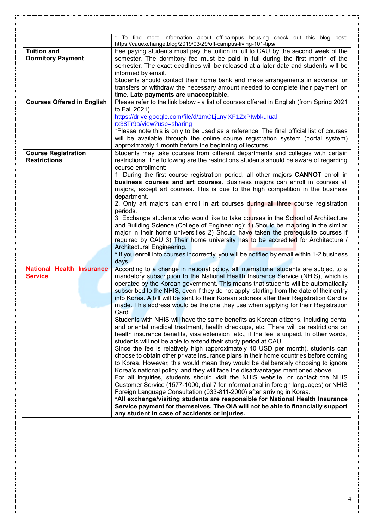|                                   | To find more information about off-campus housing check out this blog post:                                                                                                   |
|-----------------------------------|-------------------------------------------------------------------------------------------------------------------------------------------------------------------------------|
|                                   | https://cauexchange.blog/2019/03/29/off-campus-living-101-tips/                                                                                                               |
| <b>Tuition and</b>                | Fee paying students must pay the tuition in full to CAU by the second week of the                                                                                             |
| <b>Dormitory Payment</b>          | semester. The dormitory fee must be paid in full during the first month of the                                                                                                |
|                                   | semester. The exact deadlines will be released at a later date and students will be                                                                                           |
|                                   | informed by email.                                                                                                                                                            |
|                                   | Students should contact their home bank and make arrangements in advance for                                                                                                  |
|                                   | transfers or withdraw the necessary amount needed to complete their payment on                                                                                                |
|                                   | time. Late payments are unacceptable.                                                                                                                                         |
| <b>Courses Offered in English</b> | Please refer to the link below - a list of courses offered in English (from Spring 2021                                                                                       |
|                                   | to Fall 2021).                                                                                                                                                                |
|                                   | https://drive.google.com/file/d/1mCLjLnyiXF1ZxPIwbkulual-                                                                                                                     |
|                                   | rx38Tr9a/view?usp=sharing                                                                                                                                                     |
|                                   | *Please note this is only to be used as a reference. The final official list of courses                                                                                       |
|                                   | will be available through the online course registration system (portal system)<br>approximately 1 month before the beginning of lectures.                                    |
| <b>Course Registration</b>        | Students may take courses from different departments and colleges with certain                                                                                                |
| <b>Restrictions</b>               | restrictions. The following are the restrictions students should be aware of regarding                                                                                        |
|                                   | course enrollment:                                                                                                                                                            |
|                                   | 1. During the first course registration period, all other majors <b>CANNOT</b> enroll in                                                                                      |
|                                   | business courses and art courses. Business majors can enroll in courses all                                                                                                   |
|                                   | majors, except art courses. This is due to the high competition in the business                                                                                               |
|                                   | department.                                                                                                                                                                   |
|                                   | 2. Only art majors can enroll in art courses during all three course registration                                                                                             |
|                                   | periods.                                                                                                                                                                      |
|                                   | 3. Exchange students who would like to take courses in the School of Architecture                                                                                             |
|                                   | and Building Science (College of Engineering): 1) Should be majoring in the similar                                                                                           |
|                                   | major in their home universities 2) Should have taken the prerequisite courses if                                                                                             |
|                                   | required by CAU 3) Their home university has to be accredited for Architecture /                                                                                              |
|                                   | Architectural Engineering.                                                                                                                                                    |
|                                   | * If you enroll into courses incorrectly, you will be notified by email within 1-2 business                                                                                   |
|                                   | days.                                                                                                                                                                         |
| <b>National Health Insurance</b>  | According to a change in national policy, all international students are subject to a                                                                                         |
| <b>Service</b>                    | mandatory subscription to the National Health Insurance Service (NHIS), which is                                                                                              |
|                                   | operated by the Korean government. This means that students will be automatically<br>subscribed to the NHIS, even if they do not apply, starting from the date of their entry |
|                                   | into Korea. A bill will be sent to their Korean address after their Registration Card is                                                                                      |
|                                   | made. This address would be the one they use when applying for their Registration                                                                                             |
|                                   | Card.                                                                                                                                                                         |
|                                   | Students with NHIS will have the same benefits as Korean citizens, including dental                                                                                           |
|                                   | and oriental medical treatment, health checkups, etc. There will be restrictions on                                                                                           |
|                                   | health insurance benefits, visa extension, etc., if the fee is unpaid. In other words,                                                                                        |
|                                   | students will not be able to extend their study period at CAU.                                                                                                                |
|                                   | Since the fee is relatively high (approximately 40 USD per month), students can                                                                                               |
|                                   | choose to obtain other private insurance plans in their home countries before coming                                                                                          |
|                                   | to Korea. However, this would mean they would be deliberately choosing to ignore                                                                                              |
|                                   | Korea's national policy, and they will face the disadvantages mentioned above.                                                                                                |
|                                   | For all inquiries, students should visit the NHIS website, or contact the NHIS                                                                                                |
|                                   | Customer Service (1577-1000, dial 7 for informational in foreign languages) or NHIS                                                                                           |
|                                   | Foreign Language Consultation (033-811-2000) after arriving in Korea.                                                                                                         |
|                                   | *All exchange/visiting students are responsible for National Health Insurance                                                                                                 |
|                                   | Service payment for themselves. The OIA will not be able to financially support                                                                                               |
|                                   | any student in case of accidents or injuries.                                                                                                                                 |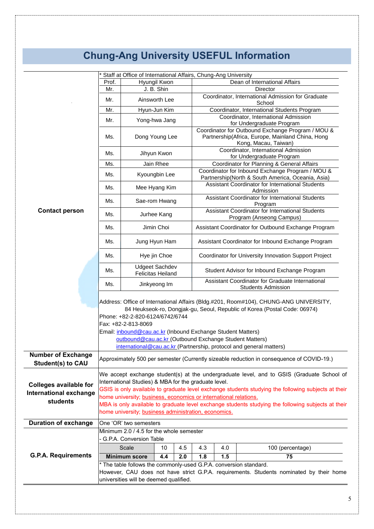## **Chung-Ang University USEFUL Information**

|                                                                            | Staff at Office of International Affairs, Chung-Ang University                                                                                                                                                                                                                                                                                                                                                                      |                                                   |                |     |                                                                                                       |                                                               |                                                                                                                               |  |  |  |
|----------------------------------------------------------------------------|-------------------------------------------------------------------------------------------------------------------------------------------------------------------------------------------------------------------------------------------------------------------------------------------------------------------------------------------------------------------------------------------------------------------------------------|---------------------------------------------------|----------------|-----|-------------------------------------------------------------------------------------------------------|---------------------------------------------------------------|-------------------------------------------------------------------------------------------------------------------------------|--|--|--|
|                                                                            | Prof.                                                                                                                                                                                                                                                                                                                                                                                                                               |                                                   | Hyungil Kwon   |     | Dean of International Affairs                                                                         |                                                               |                                                                                                                               |  |  |  |
|                                                                            | Mr.                                                                                                                                                                                                                                                                                                                                                                                                                                 |                                                   | J. B. Shin     |     | Director                                                                                              |                                                               |                                                                                                                               |  |  |  |
|                                                                            | Mr.                                                                                                                                                                                                                                                                                                                                                                                                                                 |                                                   | Ainsworth Lee  |     |                                                                                                       |                                                               | Coordinator, International Admission for Graduate<br>School                                                                   |  |  |  |
|                                                                            | Mr.                                                                                                                                                                                                                                                                                                                                                                                                                                 |                                                   | Hyun-Jun Kim   |     |                                                                                                       |                                                               | Coordinator, International Students Program                                                                                   |  |  |  |
|                                                                            | Mr.                                                                                                                                                                                                                                                                                                                                                                                                                                 |                                                   | Yong-hwa Jang  |     |                                                                                                       |                                                               | Coordinator, International Admission<br>for Undergraduate Program                                                             |  |  |  |
|                                                                            | Ms.                                                                                                                                                                                                                                                                                                                                                                                                                                 |                                                   | Dong Young Lee |     |                                                                                                       |                                                               | Coordinator for Outbound Exchange Program / MOU &<br>Partnership(Africa, Europe, Mainland China, Hong<br>Kong, Macau, Taiwan) |  |  |  |
|                                                                            | Ms.                                                                                                                                                                                                                                                                                                                                                                                                                                 |                                                   | Jihyun Kwon    |     |                                                                                                       |                                                               | Coordinator, International Admission<br>for Undergraduate Program                                                             |  |  |  |
|                                                                            | Ms.                                                                                                                                                                                                                                                                                                                                                                                                                                 |                                                   | Jain Rhee      |     | Coordinator for Planning & General Affairs                                                            |                                                               |                                                                                                                               |  |  |  |
|                                                                            | Ms.                                                                                                                                                                                                                                                                                                                                                                                                                                 |                                                   | Kyoungbin Lee  |     | Coordinator for Inbound Exchange Program / MOU &<br>Partnership(North & South America, Oceania, Asia) |                                                               |                                                                                                                               |  |  |  |
|                                                                            | Ms.                                                                                                                                                                                                                                                                                                                                                                                                                                 | Mee Hyang Kim                                     |                |     |                                                                                                       | Assistant Coordinator for International Students<br>Admission |                                                                                                                               |  |  |  |
|                                                                            | Ms.                                                                                                                                                                                                                                                                                                                                                                                                                                 | Sae-rom Hwang                                     |                |     | Assistant Coordinator for International Students<br>Program                                           |                                                               |                                                                                                                               |  |  |  |
| <b>Contact person</b>                                                      | Ms.                                                                                                                                                                                                                                                                                                                                                                                                                                 |                                                   | Jurhee Kang    |     |                                                                                                       |                                                               | Assistant Coordinator for International Students<br>Program (Anseong Campus)                                                  |  |  |  |
|                                                                            | Ms.                                                                                                                                                                                                                                                                                                                                                                                                                                 |                                                   | Jimin Choi     |     |                                                                                                       |                                                               | Assistant Coordinator for Outbound Exchange Program                                                                           |  |  |  |
|                                                                            | Ms.                                                                                                                                                                                                                                                                                                                                                                                                                                 | Jung Hyun Ham                                     |                |     | Assistant Coordinator for Inbound Exchange Program                                                    |                                                               |                                                                                                                               |  |  |  |
|                                                                            | Ms.                                                                                                                                                                                                                                                                                                                                                                                                                                 | Hye jin Choe                                      |                |     | Coordinator for University Innovation Support Project                                                 |                                                               |                                                                                                                               |  |  |  |
|                                                                            | Ms.                                                                                                                                                                                                                                                                                                                                                                                                                                 | <b>Udgeet Sachdev</b><br><b>Felicitas Heiland</b> |                |     | Student Advisor for Inbound Exchange Program                                                          |                                                               |                                                                                                                               |  |  |  |
|                                                                            | Ms.                                                                                                                                                                                                                                                                                                                                                                                                                                 |                                                   | Jinkyeong Im   |     |                                                                                                       |                                                               | Assistant Coordinator for Graduate International<br><b>Students Admission</b>                                                 |  |  |  |
|                                                                            | Address: Office of International Affairs (Bldg.#201, Room#104), CHUNG-ANG UNIVERSITY,<br>84 Heukseok-ro, Dongjak-gu, Seoul, Republic of Korea (Postal Code: 06974)<br>Phone: +82-2-820-6124/6742/6744<br>Fax: +82-2-813-8069<br>Email: <i>inbound@cau.ac.kr</i> (Inbound Exchange Student Matters)<br>outbound@cau.ac.kr (Outbound Exchange Student Matters)<br>international@cau.ac.kr (Partnership, protocol and general matters) |                                                   |                |     |                                                                                                       |                                                               |                                                                                                                               |  |  |  |
| <b>Number of Exchange</b>                                                  | Approximately 500 per semester (Currently sizeable reduction in consequence of COVID-19.)                                                                                                                                                                                                                                                                                                                                           |                                                   |                |     |                                                                                                       |                                                               |                                                                                                                               |  |  |  |
| <b>Student(s) to CAU</b>                                                   |                                                                                                                                                                                                                                                                                                                                                                                                                                     |                                                   |                |     |                                                                                                       |                                                               |                                                                                                                               |  |  |  |
| <b>Colleges available for</b><br><b>International exchange</b><br>students | We accept exchange student(s) at the undergraduate level, and to GSIS (Graduate School of<br>International Studies) & MBA for the graduate level.<br>GSIS is only available to graduate level exchange students studying the following subjects at their<br>home university; business, economics or international relations.                                                                                                        |                                                   |                |     |                                                                                                       |                                                               |                                                                                                                               |  |  |  |
|                                                                            | MBA is only available to graduate level exchange students studying the following subjects at their<br>home university; business administration, economics.                                                                                                                                                                                                                                                                          |                                                   |                |     |                                                                                                       |                                                               |                                                                                                                               |  |  |  |
| <b>Duration of exchange</b>                                                |                                                                                                                                                                                                                                                                                                                                                                                                                                     | One 'OR' two semesters                            |                |     |                                                                                                       |                                                               |                                                                                                                               |  |  |  |
|                                                                            |                                                                                                                                                                                                                                                                                                                                                                                                                                     | Minimum 2.0 / 4.5 for the whole semester          |                |     |                                                                                                       |                                                               |                                                                                                                               |  |  |  |
|                                                                            | - G.P.A. Conversion Table                                                                                                                                                                                                                                                                                                                                                                                                           |                                                   |                |     |                                                                                                       |                                                               |                                                                                                                               |  |  |  |
|                                                                            |                                                                                                                                                                                                                                                                                                                                                                                                                                     | Scale                                             | 10             | 4.5 | 4.3                                                                                                   | 4.0                                                           | 100 (percentage)                                                                                                              |  |  |  |
| <b>G.P.A. Requirements</b>                                                 |                                                                                                                                                                                                                                                                                                                                                                                                                                     | <b>Minimum score</b>                              | 4.4            | 2.0 | 1.8                                                                                                   | 1.5                                                           | 75                                                                                                                            |  |  |  |
|                                                                            | * The table follows the commonly-used G.P.A. conversion standard.                                                                                                                                                                                                                                                                                                                                                                   |                                                   |                |     |                                                                                                       |                                                               |                                                                                                                               |  |  |  |
|                                                                            | However, CAU does not have strict G.P.A. requirements. Students nominated by their home<br>universities will be deemed qualified.                                                                                                                                                                                                                                                                                                   |                                                   |                |     |                                                                                                       |                                                               |                                                                                                                               |  |  |  |
|                                                                            |                                                                                                                                                                                                                                                                                                                                                                                                                                     |                                                   |                |     |                                                                                                       |                                                               |                                                                                                                               |  |  |  |
|                                                                            |                                                                                                                                                                                                                                                                                                                                                                                                                                     |                                                   |                |     |                                                                                                       |                                                               |                                                                                                                               |  |  |  |